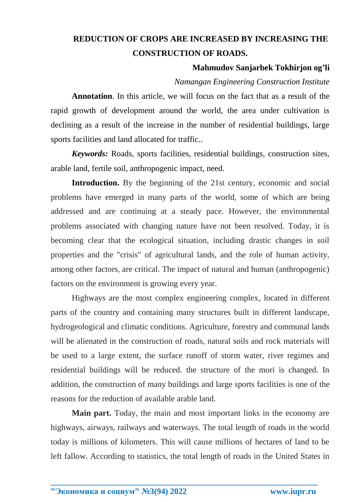# **REDUCTION OF CROPS ARE INCREASED BY INCREASING THE CONSTRUCTION OF ROADS.**

## **Mahmudov Sanjarbek Tokhirjon og'li**

# *Namangan Engineering Construction Institute*

**Annotation**. In this article, we will focus on the fact that as a result of the rapid growth of development around the world, the area under cultivation is declining as a result of the increase in the number of residential buildings, large sports facilities and land allocated for traffic..

*Keywords:* Roads, sports facilities, residential buildings, construction sites, arable land, fertile soil, anthropogenic impact, need.

**Introduction.** By the beginning of the 21st century, economic and social problems have emerged in many parts of the world, some of which are being addressed and are continuing at a steady pace. However, the environmental problems associated with changing nature have not been resolved. Today, it is becoming clear that the ecological situation, including drastic changes in soil properties and the "crisis" of agricultural lands, and the role of human activity, among other factors, are critical. The impact of natural and human (anthropogenic) factors on the environment is growing every year.

Highways are the most complex engineering complex, located in different parts of the country and containing many structures built in different landscape, hydrogeological and climatic conditions. Agriculture, forestry and communal lands will be alienated in the construction of roads, natural soils and rock materials will be used to a large extent, the surface runoff of storm water, river regimes and residential buildings will be reduced. the structure of the mori is changed. In addition, the construction of many buildings and large sports facilities is one of the reasons for the reduction of available arable land.

**Main part.** Today, the main and most important links in the economy are highways, airways, railways and waterways. The total length of roads in the world today is millions of kilometers. This will cause millions of hectares of land to be left fallow. According to statistics, the total length of roads in the United States in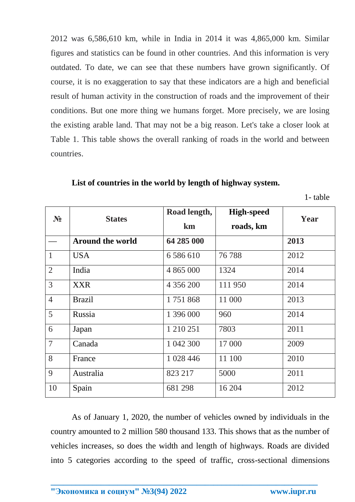2012 was 6,586,610 km, while in India in 2014 it was 4,865,000 km. Similar figures and statistics can be found in other countries. And this information is very outdated. To date, we can see that these numbers have grown significantly. Of course, it is no exaggeration to say that these indicators are a high and beneficial result of human activity in the construction of roads and the improvement of their conditions. But one more thing we humans forget. More precisely, we are losing the existing arable land. That may not be a big reason. Let's take a closer look at Table 1. This table shows the overall ranking of roads in the world and between countries.

**List of countries in the world by length of highway system.**

1- table

| $N_2$          | <b>States</b>           | Road length,<br>km | <b>High-speed</b> | Year |
|----------------|-------------------------|--------------------|-------------------|------|
|                |                         |                    | roads, km         |      |
|                | <b>Around the world</b> | 64 285 000         |                   | 2013 |
| $\mathbf{1}$   | <b>USA</b>              | 6 5 8 6 6 10       | 76788             | 2012 |
| $\overline{2}$ | India                   | 4 865 000          | 1324              | 2014 |
| 3              | <b>XXR</b>              | 4 356 200          | 111950            | 2014 |
| $\overline{4}$ | <b>Brazil</b>           | 1751868            | 11 000            | 2013 |
| 5              | Russia                  | 1 396 000          | 960               | 2014 |
| 6              | Japan                   | 1 210 251          | 7803              | 2011 |
| $\overline{7}$ | Canada                  | 1 042 300          | 17 000            | 2009 |
| 8              | France                  | 1 028 446          | 11 100            | 2010 |
| 9              | Australia               | 823 217            | 5000              | 2011 |
| 10             | Spain                   | 681 298            | 16 204            | 2012 |

As of January 1, 2020, the number of vehicles owned by individuals in the country amounted to 2 million 580 thousand 133. This shows that as the number of vehicles increases, so does the width and length of highways. Roads are divided into 5 categories according to the speed of traffic, cross-sectional dimensions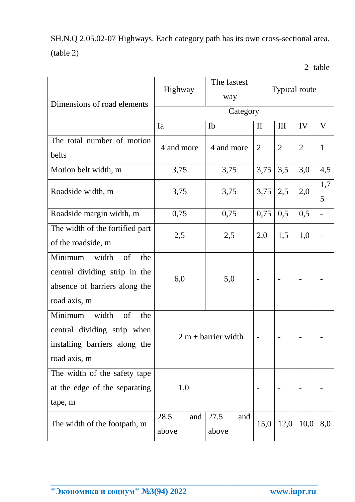SH.N.Q 2.05.02-07 Highways. Each category path has its own cross-sectional area. (table 2)

| Dimensions of road elements                                                                                     | Highway               | The fastest<br>way   | <b>Typical route</b> |                |                |              |  |
|-----------------------------------------------------------------------------------------------------------------|-----------------------|----------------------|----------------------|----------------|----------------|--------------|--|
|                                                                                                                 | Category              |                      |                      |                |                |              |  |
|                                                                                                                 | Ia                    | Ib                   | $\mathbf{I}$         | III            | IV             | V            |  |
| The total number of motion<br>belts                                                                             | 4 and more            | 4 and more           | $\overline{2}$       | $\overline{2}$ | $\overline{2}$ | $\mathbf{1}$ |  |
| Motion belt width, m                                                                                            | 3,75                  | 3,75                 | 3,75                 | 3,5            | 3,0            | 4,5          |  |
| Roadside width, m                                                                                               | 3,75                  | 3,75                 | 3,75                 | 2,5            | 2,0            | 1,7<br>5     |  |
| Roadside margin width, m                                                                                        | 0,75                  | 0,75                 | 0,75                 | 0,5            | 0,5            | -            |  |
| The width of the fortified part<br>of the roadside, m                                                           | 2,5                   | 2,5                  | 2,0                  | 1,5            | 1,0            |              |  |
| Minimum<br>width<br>of<br>the<br>central dividing strip in the<br>absence of barriers along the<br>road axis, m | 6,0                   | 5,0                  |                      |                |                |              |  |
| Minimum<br>width<br>of<br>the<br>central dividing strip when<br>installing barriers along the<br>road axis, m   | $2 m + barrier width$ |                      |                      |                |                |              |  |
| The width of the safety tape<br>at the edge of the separating<br>tape, m                                        | 1,0                   |                      |                      |                |                |              |  |
| The width of the footpath, m                                                                                    | 28.5<br>and<br>above  | 27.5<br>and<br>above | 15,0                 | 12,0           | 10,0           | 8,0          |  |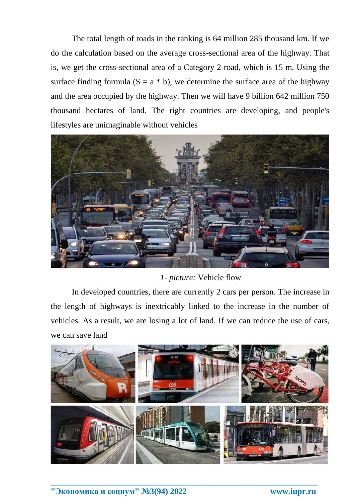The total length of roads in the ranking is 64 million 285 thousand km. If we do the calculation based on the average cross-sectional area of the highway. That is, we get the cross-sectional area of a Category 2 road, which is 15 m. Using the surface finding formula  $(S = a * b)$ , we determine the surface area of the highway and the area occupied by the highway. Then we will have 9 billion 642 million 750 thousand hectares of land. The right countries are developing, and people's lifestyles are unimaginable without vehicles



*1- picture:* Vehicle flow

In developed countries, there are currently 2 cars per person. The increase in the length of highways is inextricably linked to the increase in the number of vehicles. As a result, we are losing a lot of land. If we can reduce the use of cars, we can save land

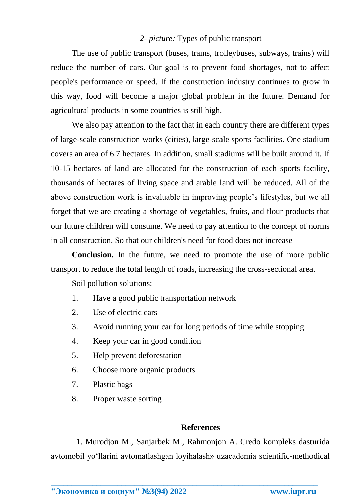## *2- picture:* Types of public transport

The use of public transport (buses, trams, trolleybuses, subways, trains) will reduce the number of cars. Our goal is to prevent food shortages, not to affect people's performance or speed. If the construction industry continues to grow in this way, food will become a major global problem in the future. Demand for agricultural products in some countries is still high.

We also pay attention to the fact that in each country there are different types of large-scale construction works (cities), large-scale sports facilities. One stadium covers an area of 6.7 hectares. In addition, small stadiums will be built around it. If 10-15 hectares of land are allocated for the construction of each sports facility, thousands of hectares of living space and arable land will be reduced. All of the above construction work is invaluable in improving people's lifestyles, but we all forget that we are creating a shortage of vegetables, fruits, and flour products that our future children will consume. We need to pay attention to the concept of norms in all construction. So that our children's need for food does not increase

**Conclusion.** In the future, we need to promote the use of more public transport to reduce the total length of roads, increasing the cross-sectional area.

Soil pollution solutions:

- 1. Have a good public transportation network
- 2. Use of electric cars
- 3. Avoid running your car for long periods of time while stopping
- 4. Keep your car in good condition
- 5. Help prevent deforestation
- 6. Choose more organic products
- 7. Plastic bags
- 8. Proper waste sorting

#### **References**

1. Murodjon M., Sanjarbek M., Rahmonjon A. Credo kompleks dasturida avtomobil yo'llarini avtomatlashgan loyihalash» uzacademia scientific-methodical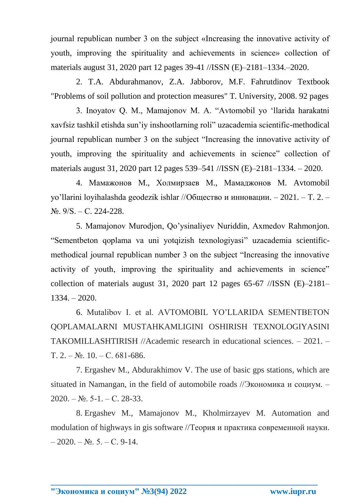journal republican number 3 on the subject «Increasing the innovative activity of youth, improving the spirituality and achievements in science» collection of materials august 31, 2020 part 12 pages 39-41 //ISSN (E)–2181–1334.–2020.

2. T.A. Abdurahmanov, Z.A. Jabborov, M.F. Fahrutdinov Textbook "Problems of soil pollution and protection measures" T. University, 2008. 92 pages

3. Inoyatov Q. M., Mamajonov M. A. "Avtomobil yo 'llarida harakatni xavfsiz tashkil etishda sun'iy inshootlarning roli" uzacademia scientific-methodical journal republican number 3 on the subject "Increasing the innovative activity of youth, improving the spirituality and achievements in science" collection of materials august 31, 2020 part 12 pages 539–541 //ISSN (E)–2181–1334. – 2020.

4. Мамажонов М., Холмирзаев М., Мамаджонов М. Avtomobil yo'llarini loyihalashda geodezik ishlar //Общество и инновации. – 2021. – Т. 2. –  $N_2$ .  $9/S. - C. 224-228$ .

5. Mamajonov Murodjon, Qo'ysinaliyev Nuriddin, Axmedov Rahmonjon. "Sementbeton qoplаmа va uni yotqizish texnologiyasi" uzacademia scientificmethodical journal republican number 3 on the subject "Increasing the innovative activity of youth, improving the spirituality and achievements in science" collection of materials august 31, 2020 part 12 pages 65-67 //ISSN  $(E)$ -2181-1334. – 2020.

6. Mutalibov I. et al. AVTOMOBIL YO'LLARIDA SEMENTBETON QOPLAMALARNI MUSTAHKAMLIGINI OSHIRISH TEXNOLOGIYASINI TAKOMILLASHTIRISH //Academic research in educational sciences. – 2021. – Т. 2. – №. 10. – С. 681-686.

7. Ergashev M., Abdurakhimov V. The use of basic gps stations, which are situated in Namangan, in the field of automobile roads //Экономика и социум. –  $2020. - N_{2}$ . 5-1. – C. 28-33.

8. Ergashev M., Mamajonov M., Kholmirzayev M. Automation and modulation of highways in gis software //Теория и практика современной науки.  $-2020. - N_2$ . 5. – C. 9-14.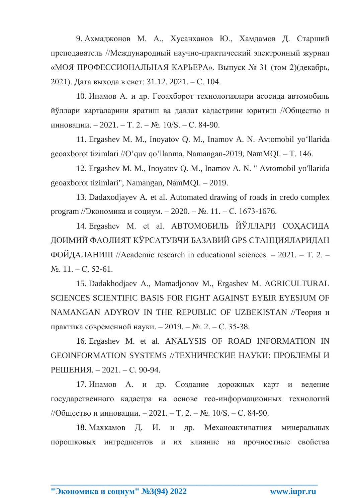9. Ахмаджонов М. А., Хусанханов Ю., Хамдамов Д. Старший преподаватель //Международный научно-практический электронный журнал «МОЯ ПРОФЕССИОНАЛЬНАЯ КАРЬЕРА». Выпуск № 31 (том 2)(декабрь, 2021). Дата выхода в свет: 31.12. 2021. – С. 104.

10. Инамов А. и др. Геоахборот технологиялари асосида автомобиль йўллари карталарини яратиш ва давлат кадастрини юритиш //Общество и инновации. – 2021. – Т. 2. – №. 10/S. – С. 84-90.

11. Ergashev M. M., Inoyatov Q. M., Inamov A. N. Avtomobil yoʻllarida geoaxborot tizimlari //O'quv qo'llanma, Namangan-2019, NamMQI. – Т. 146.

12. Ergashev M. M., Inoyatov Q. M., Inamov A. N. " Avtomobil yo'llarida geoaxborot tizimlari", Namangan, NamMQI. – 2019.

13. Dadaxodjayev A. et al. Automated drawing of roads in credo complex program //Экономика и социум. – 2020. – №. 11. – С. 1673-1676.

14. Ergashev M. et al. АВТОМОБИЛЬ ЙЎЛЛАРИ СОҲАСИДА ДОИМИЙ ФАОЛИЯТ КЎРСАТУВЧИ БАЗАВИЙ GPS СТАНЦИЯЛАРИДАН ФОЙДАЛАНИШ //Academic research in educational sciences. – 2021. – Т. 2. –  $N_2$ . 11. – C. 52-61.

15. Dadakhodjaev A., Mamadjonov M., Ergashev M. AGRICULTURAL SCIENCES SCIENTIFIC BASIS FOR FIGHT AGAINST EYEIR EYESIUM OF NAMANGAN ADYROV IN THE REPUBLIC OF UZBEKISTAN //Теория и практика современной науки. – 2019. – №. 2. – С. 35-38.

16. Ergashev M. et al. ANALYSIS OF ROAD INFORMATION IN GEOINFORMATION SYSTEMS //ТЕХНИЧЕСКИЕ НАУКИ: ПРОБЛЕМЫ И РЕШЕНИЯ. – 2021. – С. 90-94.

17. Инамов А. и др. Создание дорожных карт и ведение государственного кадастра на основе гео-информационных технологий //Общество и инновации. – 2021. – Т. 2. – №. 10/S. – С. 84-90.

18. Махкамов Д. И. и др. Механоактиватция минеральных порошковых ингредиентов и их влияние на прочностные свойства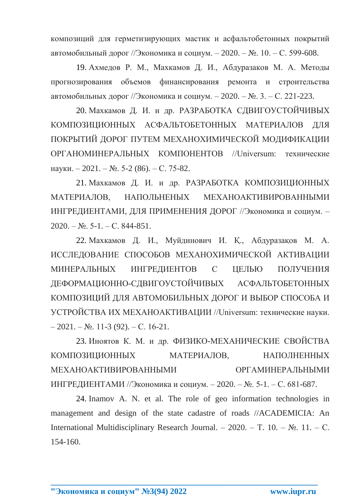композиций для герметизирующих мастик и асфальтобетонных покрытий автомобильный дорог //Экономика и социум. – 2020. – №. 10. – С. 599-608.

19. Ахмедов Р. М., Махкамов Д. И., Абдуразаков М. А. Методы прогнозирования объемов финансирования ремонта и строительства автомобильных дорог //Экономика и социум. – 2020. – №. 3. – С. 221-223.

20. Махкамов Д. И. и др. РАЗРАБОТКА СДВИГОУСТОЙЧИВЫХ КОМПОЗИЦИОННЫХ АСФАЛЬТОБЕТОННЫХ МАТЕРИАЛОВ ДЛЯ ПОКРЫТИЙ ДОРОГ ПУТЕМ МЕХАНОХИМИЧЕСКОЙ МОДИФИКАЦИИ ОРГАНОМИНЕРАЛЬНЫХ КОМПОНЕНТОВ //Universum: технические науки. – 2021. – №. 5-2 (86). – С. 75-82.

21. Махкамов Д. И. и др. РАЗРАБОТКА КОМПОЗИЦИОННЫХ МАТЕРИАЛОВ, НАПОЛЬНЕНЫХ МЕХАНОАКТИВИРОВАННЫМИ ИНГРЕДИЕНТАМИ, ДЛЯ ПРИМЕНЕНИЯ ДОРОГ //Экономика и социум. –  $2020. - N_2$ . 5-1. – C. 844-851.

22. Махкамов Д. И., Муйдинович И. Қ., Абдуразақов М. А. ИССЛЕДОВАНИЕ СПОСОБОВ МЕХАНОХИМИЧЕСКОЙ АКТИВАЦИИ МИНЕРАЛЬНЫХ ИНГРЕДИЕНТОВ С ЦЕЛЬЮ ПОЛУЧЕНИЯ ДЕФОРМАЦИОННО-СДВИГОУСТОЙЧИВЫХ АСФАЛЬТОБЕТОННЫХ КОМПОЗИЦИЙ ДЛЯ АВТОМОБИЛЬНЫХ ДОРОГ И ВЫБОР СПОСОБА И УСТРОЙСТВА ИХ МЕХАНОАКТИВАЦИИ //Universum: технические науки.  $-2021. - N_{.}$  11-3 (92). – C. 16-21.

23. Иноятов К. М. и др. ФИЗИКО-МЕХАНИЧЕСКИЕ СВОЙСТВА КОМПОЗИЦИОННЫХ МАТЕРИАЛОВ, НАПОЛНЕННЫХ МЕХАНОАКТИВИРОВАННЫМИ ОРГАМИНЕРАЛЬНЫМИ ИНГРЕДИЕНТАМИ //Экономика и социум. – 2020. – №. 5-1. – С. 681-687.

24. Inamov A. N. et al. The role of geo information technologies in management and design of the state cadastre of roads //ACADEMICIA: An International Multidisciplinary Research Journal. – 2020. – Т. 10. – №. 11. – С. 154-160.